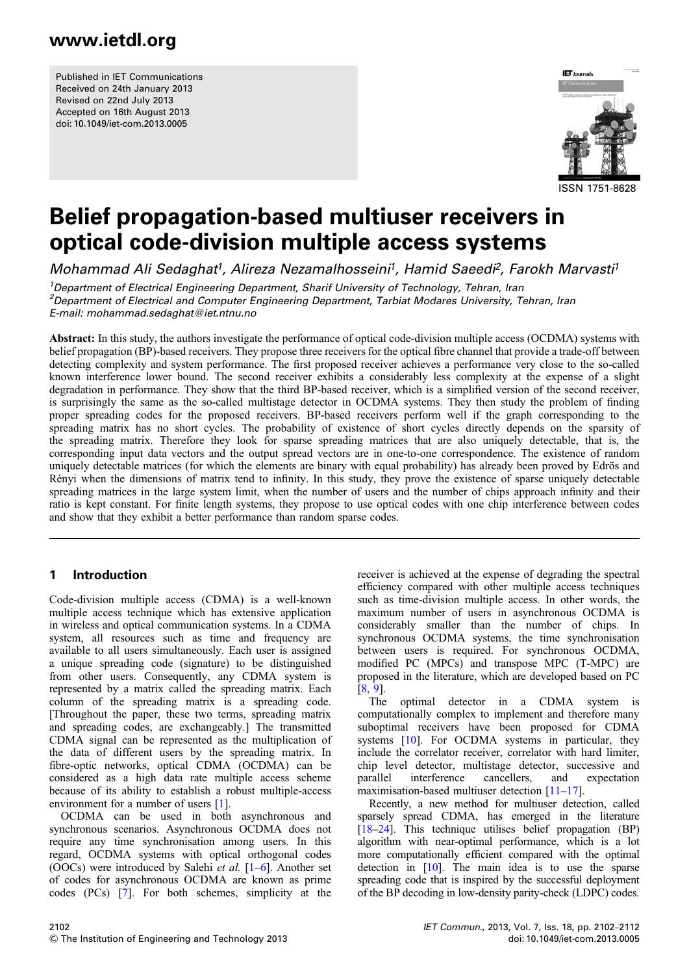Published in IET Communications Received on 24th January 2013 Revised on 22nd July 2013 Accepted on 16th August 2013 doi: 10.1049/iet-com.2013.0005



# Belief propagation-based multiuser receivers in optical code-division multiple access systems

Mohammad Ali Sedaghat<sup>1</sup>, Alireza Nezamalhosseini<sup>1</sup>, Hamid Saeedi<sup>2</sup>, Farokh Marvasti<sup>1</sup>

<sup>1</sup>Department of Electrical Engineering Department, Sharif University of Technology, Tehran, Iran <sup>2</sup> Department of Electrical and Computer Engineering Department, Tarbiat Modares University, Tehran, Iran E-mail: mohammad.sedaghat@iet.ntnu.no

Abstract: In this study, the authors investigate the performance of optical code-division multiple access (OCDMA) systems with belief propagation (BP)-based receivers. They propose three receivers for the optical fibre channel that provide a trade-off between detecting complexity and system performance. The first proposed receiver achieves a performance very close to the so-called known interference lower bound. The second receiver exhibits a considerably less complexity at the expense of a slight degradation in performance. They show that the third BP-based receiver, which is a simplified version of the second receiver, is surprisingly the same as the so-called multistage detector in OCDMA systems. They then study the problem of finding proper spreading codes for the proposed receivers. BP-based receivers perform well if the graph corresponding to the spreading matrix has no short cycles. The probability of existence of short cycles directly depends on the sparsity of the spreading matrix. Therefore they look for sparse spreading matrices that are also uniquely detectable, that is, the corresponding input data vectors and the output spread vectors are in one-to-one correspondence. The existence of random uniquely detectable matrices (for which the elements are binary with equal probability) has already been proved by Edrös and Rényi when the dimensions of matrix tend to infinity. In this study, they prove the existence of sparse uniquely detectable spreading matrices in the large system limit, when the number of users and the number of chips approach infinity and their ratio is kept constant. For finite length systems, they propose to use optical codes with one chip interference between codes and show that they exhibit a better performance than random sparse codes.

### 1 Introduction

Code-division multiple access (CDMA) is a well-known multiple access technique which has extensive application in wireless and optical communication systems. In a CDMA system, all resources such as time and frequency are available to all users simultaneously. Each user is assigned a unique spreading code (signature) to be distinguished from other users. Consequently, any CDMA system is represented by a matrix called the spreading matrix. Each column of the spreading matrix is a spreading code. [Throughout the paper, these two terms, spreading matrix and spreading codes, are exchangeably.] The transmitted CDMA signal can be represented as the multiplication of the data of different users by the spreading matrix. In fibre-optic networks, optical CDMA (OCDMA) can be considered as a high data rate multiple access scheme because of its ability to establish a robust multiple-access environment for a number of users [1].

OCDMA can be used in both asynchronous and synchronous scenarios. Asynchronous OCDMA does not require any time synchronisation among users. In this regard, OCDMA systems with optical orthogonal codes (OOCs) were introduced by Salehi et al. [1–6]. Another set of codes for asynchronous OCDMA are known as prime codes (PCs) [7]. For both schemes, simplicity at the receiver is achieved at the expense of degrading the spectral efficiency compared with other multiple access techniques such as time-division multiple access. In other words, the maximum number of users in asynchronous OCDMA is considerably smaller than the number of chips. In synchronous OCDMA systems, the time synchronisation between users is required. For synchronous OCDMA, modified PC (MPCs) and transpose MPC (T-MPC) are proposed in the literature, which are developed based on PC [8, 9].

The optimal detector in a CDMA system is computationally complex to implement and therefore many suboptimal receivers have been proposed for CDMA systems [10]. For OCDMA systems in particular, they include the correlator receiver, correlator with hard limiter, chip level detector, multistage detector, successive and parallel interference cancellers, and expectation maximisation-based multiuser detection  $[11-17]$ .

Recently, a new method for multiuser detection, called sparsely spread CDMA, has emerged in the literature [18–24]. This technique utilises belief propagation (BP) algorithm with near-optimal performance, which is a lot more computationally efficient compared with the optimal detection in [10]. The main idea is to use the sparse spreading code that is inspired by the successful deployment of the BP decoding in low-density parity-check (LDPC) codes.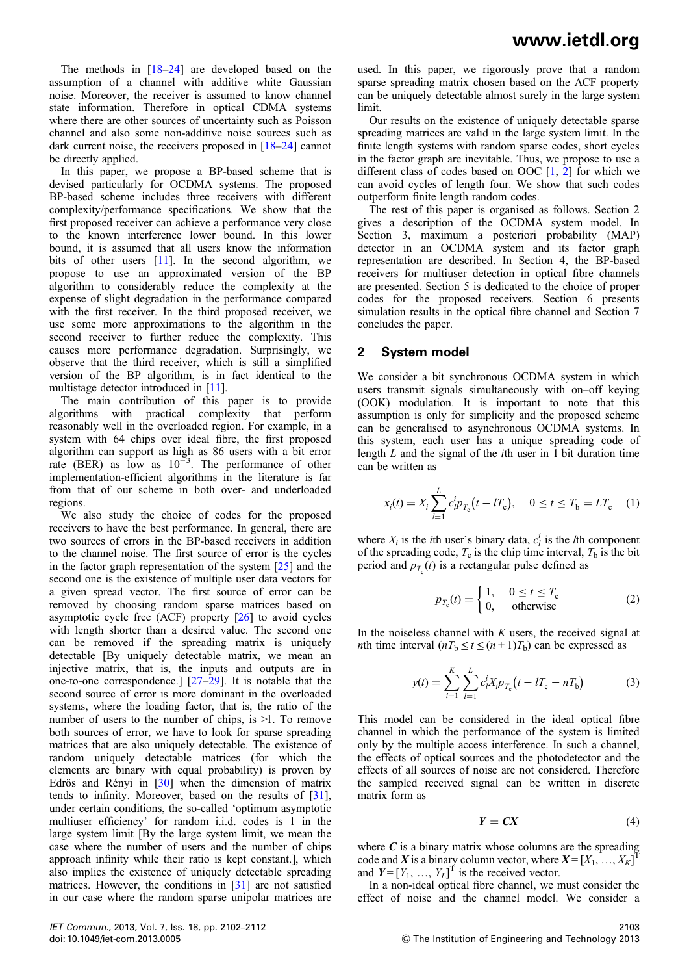The methods in  $[18-24]$  are developed based on the assumption of a channel with additive white Gaussian noise. Moreover, the receiver is assumed to know channel state information. Therefore in optical CDMA systems where there are other sources of uncertainty such as Poisson channel and also some non-additive noise sources such as dark current noise, the receivers proposed in [18–24] cannot be directly applied.

In this paper, we propose a BP-based scheme that is devised particularly for OCDMA systems. The proposed BP-based scheme includes three receivers with different complexity/performance specifications. We show that the first proposed receiver can achieve a performance very close to the known interference lower bound. In this lower bound, it is assumed that all users know the information bits of other users [11]. In the second algorithm, we propose to use an approximated version of the BP algorithm to considerably reduce the complexity at the expense of slight degradation in the performance compared with the first receiver. In the third proposed receiver, we use some more approximations to the algorithm in the second receiver to further reduce the complexity. This causes more performance degradation. Surprisingly, we observe that the third receiver, which is still a simplified version of the BP algorithm, is in fact identical to the multistage detector introduced in [11].

The main contribution of this paper is to provide algorithms with practical complexity that perform reasonably well in the overloaded region. For example, in a system with 64 chips over ideal fibre, the first proposed algorithm can support as high as 86 users with a bit error rate (BER) as low as  $10^{-3}$ . The performance of other implementation-efficient algorithms in the literature is far from that of our scheme in both over- and underloaded regions.

We also study the choice of codes for the proposed receivers to have the best performance. In general, there are two sources of errors in the BP-based receivers in addition to the channel noise. The first source of error is the cycles in the factor graph representation of the system [25] and the second one is the existence of multiple user data vectors for a given spread vector. The first source of error can be removed by choosing random sparse matrices based on asymptotic cycle free (ACF) property [26] to avoid cycles with length shorter than a desired value. The second one can be removed if the spreading matrix is uniquely detectable [By uniquely detectable matrix, we mean an injective matrix, that is, the inputs and outputs are in one-to-one correspondence.] [27–29]. It is notable that the second source of error is more dominant in the overloaded systems, where the loading factor, that is, the ratio of the number of users to the number of chips, is >1. To remove both sources of error, we have to look for sparse spreading matrices that are also uniquely detectable. The existence of random uniquely detectable matrices (for which the elements are binary with equal probability) is proven by Edrös and Rényi in [30] when the dimension of matrix tends to infinity. Moreover, based on the results of [31], under certain conditions, the so-called 'optimum asymptotic multiuser efficiency' for random i.i.d. codes is 1 in the large system limit [By the large system limit, we mean the case where the number of users and the number of chips approach infinity while their ratio is kept constant.], which also implies the existence of uniquely detectable spreading matrices. However, the conditions in [31] are not satisfied in our case where the random sparse unipolar matrices are

used. In this paper, we rigorously prove that a random sparse spreading matrix chosen based on the ACF property can be uniquely detectable almost surely in the large system limit.

Our results on the existence of uniquely detectable sparse spreading matrices are valid in the large system limit. In the finite length systems with random sparse codes, short cycles in the factor graph are inevitable. Thus, we propose to use a different class of codes based on OOC  $[1, 2]$  for which we can avoid cycles of length four. We show that such codes outperform finite length random codes.

The rest of this paper is organised as follows. Section 2 gives a description of the OCDMA system model. In Section 3, maximum a posteriori probability (MAP) detector in an OCDMA system and its factor graph representation are described. In Section 4, the BP-based receivers for multiuser detection in optical fibre channels are presented. Section 5 is dedicated to the choice of proper codes for the proposed receivers. Section 6 presents simulation results in the optical fibre channel and Section 7 concludes the paper.

#### 2 System model

We consider a bit synchronous OCDMA system in which users transmit signals simultaneously with on–off keying (OOK) modulation. It is important to note that this assumption is only for simplicity and the proposed scheme can be generalised to asynchronous OCDMA systems. In this system, each user has a unique spreading code of length L and the signal of the ith user in 1 bit duration time can be written as

$$
x_i(t) = X_i \sum_{l=1}^{L} c_l^i p_{T_c}(t - lT_c), \quad 0 \le t \le T_b = LT_c \quad (1)
$$

where  $X_i$  is the *i*th user's binary data,  $c_i^i$  is the *l*th component of the spreading code,  $T_c$  is the chip time interval,  $T_b$  is the bit period and  $p_{T_c}(t)$  is a rectangular pulse defined as

$$
p_{T_c}(t) = \begin{cases} 1, & 0 \le t \le T_c \\ 0, & \text{otherwise} \end{cases}
$$
 (2)

In the noiseless channel with  $K$  users, the received signal at *nth* time interval  $(nT_b \le t \le (n+1)T_b)$  can be expressed as

$$
y(t) = \sum_{i=1}^{K} \sum_{l=1}^{L} c_{l}^{i} X_{i} p_{T_{c}} \left( t - l_{c} - n T_{b} \right)
$$
 (3)

This model can be considered in the ideal optical fibre channel in which the performance of the system is limited only by the multiple access interference. In such a channel, the effects of optical sources and the photodetector and the effects of all sources of noise are not considered. Therefore the sampled received signal can be written in discrete matrix form as

$$
Y = CX \tag{4}
$$

where  $C$  is a binary matrix whose columns are the spreading code and X is a binary column vector, where  $X = [X_1, ..., X_K]^T$ and  $Y = [Y_1, ..., Y_L]^T$  is the received vector.

In a non-ideal optical fibre channel, we must consider the effect of noise and the channel model. We consider a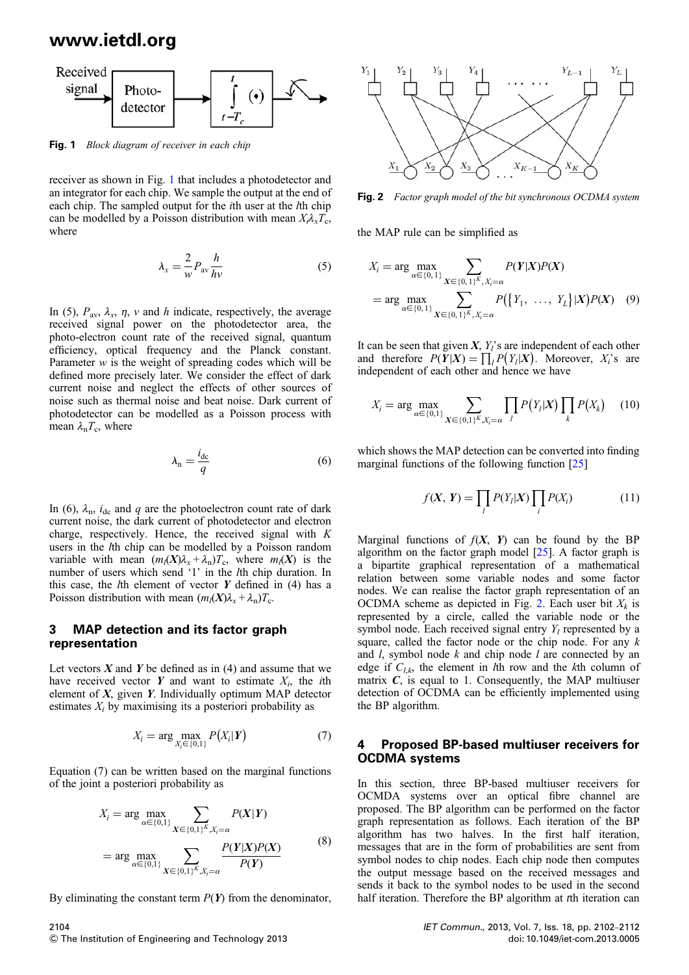

Fig. 1 Block diagram of receiver in each chip

receiver as shown in Fig. 1 that includes a photodetector and an integrator for each chip. We sample the output at the end of each chip. The sampled output for the *i*th user at the *l*th chip can be modelled by a Poisson distribution with mean  $X_i \lambda_x T_c$ , where

$$
\lambda_x = \frac{2}{w} P_{\text{av}} \frac{h}{h\nu} \tag{5}
$$

In (5),  $P_{\text{av}}$ ,  $\lambda_x$ ,  $\eta$ ,  $\nu$  and  $h$  indicate, respectively, the average received signal power on the photodetector area, the photo-electron count rate of the received signal, quantum efficiency, optical frequency and the Planck constant. Parameter  $w$  is the weight of spreading codes which will be defined more precisely later. We consider the effect of dark current noise and neglect the effects of other sources of noise such as thermal noise and beat noise. Dark current of photodetector can be modelled as a Poisson process with mean  $\lambda_n T_c$ , where

$$
\lambda_{\rm n} = \frac{i_{\rm dc}}{q} \tag{6}
$$

In (6),  $\lambda_n$ ,  $i_{dc}$  and q are the photoelectron count rate of dark current noise, the dark current of photodetector and electron charge, respectively. Hence, the received signal with K users in the lth chip can be modelled by a Poisson random variable with mean  $(m_l(X)\lambda_x + \lambda_n)T_c$ , where  $m_l(X)$  is the number of users which send '1' in the lth chip duration. In this case, the  $l$ th element of vector  $Y$  defined in (4) has a Poisson distribution with mean  $(m_l(X)\lambda_X + \lambda_n)T_c$ .

#### 3 MAP detection and its factor graph representation

Let vectors  $X$  and  $Y$  be defined as in (4) and assume that we have received vector Y and want to estimate  $X_i$ , the *i*th element of  $X$ , given  $Y$ . Individually optimum MAP detector estimates  $X_i$  by maximising its a posteriori probability as

$$
X_i = \arg\max_{X_i \in \{0,1\}} P(X_i | \mathbf{Y}) \tag{7}
$$

Equation (7) can be written based on the marginal functions of the joint a posteriori probability as

$$
X_{i} = \arg \max_{\alpha \in \{0,1\}} \sum_{X \in \{0,1\}^{K}, X_{i} = \alpha} P(X|Y)
$$
  
= 
$$
\arg \max_{\alpha \in \{0,1\}} \sum_{X \in \{0,1\}^{K}, X_{i} = \alpha} \frac{P(Y|X)P(X)}{P(Y)}
$$
(8)

By eliminating the constant term  $P(Y)$  from the denominator,

Fig. 2 Factor graph model of the bit synchronous OCDMA system

the MAP rule can be simplified as

$$
X_i = \arg \max_{\alpha \in \{0, 1\}} \sum_{X \in \{0, 1\}^K, X_i = \alpha} P(Y|X)P(X)
$$
  
= 
$$
\arg \max_{\alpha \in \{0, 1\}} \sum_{X \in \{0, 1\}^K, X_i = \alpha} P(\lbrace Y_1, \dots, Y_L \rbrace | X)P(X) \quad (9)
$$

It can be seen that given  $X$ ,  $Y_i$ 's are independent of each other and therefore  $P(Y|X) = \prod_{i} P(Y_i|X)$ . Moreover,  $X_i$ 's are independent of each other and hence we have

$$
X_i = \arg \max_{\alpha \in \{0,1\}} \sum_{X \in \{0,1\}^K, X_i = \alpha} \prod_l P(Y_l | X) \prod_k P(X_k) \tag{10}
$$

which shows the MAP detection can be converted into finding marginal functions of the following function [25]

$$
f(X, Y) = \prod_{l} P(Y_l | X) \prod_{i} P(X_i)
$$
 (11)

Marginal functions of  $f(X, Y)$  can be found by the BP algorithm on the factor graph model  $[25]$ . A factor graph is a bipartite graphical representation of a mathematical relation between some variable nodes and some factor nodes. We can realise the factor graph representation of an OCDMA scheme as depicted in Fig. 2. Each user bit  $X_k$  is represented by a circle, called the variable node or the symbol node. Each received signal entry  $Y_l$  represented by a square, called the factor node or the chip node. For any  $k$ and  $l$ , symbol node  $k$  and chip node  $l$  are connected by an edge if  $C_{l,k}$ , the element in *l*th row and the *k*th column of matrix  $C$ , is equal to 1. Consequently, the MAP multiuser detection of OCDMA can be efficiently implemented using the BP algorithm.

#### 4 Proposed BP-based multiuser receivers for OCDMA systems

In this section, three BP-based multiuser receivers for OCMDA systems over an optical fibre channel are proposed. The BP algorithm can be performed on the factor graph representation as follows. Each iteration of the BP algorithm has two halves. In the first half iteration, messages that are in the form of probabilities are sent from symbol nodes to chip nodes. Each chip node then computes the output message based on the received messages and sends it back to the symbol nodes to be used in the second half iteration. Therefore the BP algorithm at the iteration can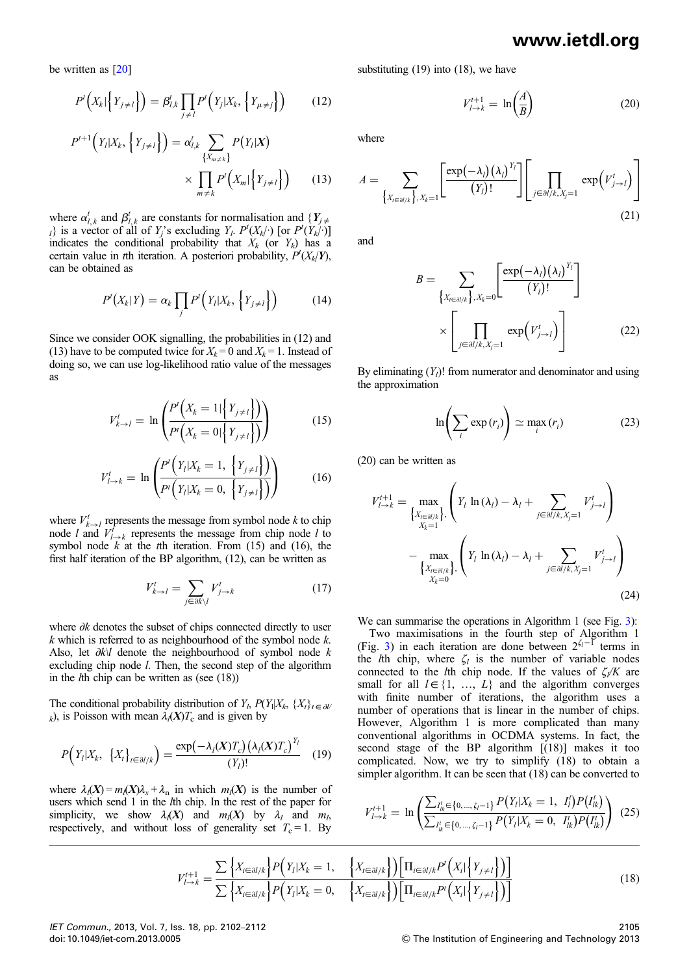be written as [20]

$$
P^t\left(X_k|\left\{Y_{j\neq l}\right\}\right) = \beta^t_{l,k} \prod_{j\neq l} P^t\left(Y_j|X_k,\left\{Y_{\mu\neq j}\right\}\right) \tag{12}
$$

$$
P^{t+1}\left(Y_l|X_k, \left\{Y_{j \neq l}\right\}\right) = \alpha_{l,k}^t \sum_{\{X_{m \neq k}\}} P(Y_l|X) \times \prod_{m \neq k} P'\left(X_m|\left\{Y_{j \neq l}\right\}\right) \tag{13}
$$

where  $\alpha_{l,k}^{t}$  and  $\beta_{l,k}^{t}$  are constants for normalisation and  $\{Y_{j\neq k}\}$  $\{u_i\}$  is a vector of all of  $Y_j$ 's excluding  $Y_l$ .  $P^t(X_{k_l})$  [or  $P^t(Y_{k_l})$ ] indicates the conditional probability that  $X_k$  (or  $Y_k$ ) has a certain value in the iteration. A posteriori probability,  $P^{t}(X_{k}|\boldsymbol{Y})$ , can be obtained as

$$
P^{t}(X_{k}|Y) = \alpha_{k} \prod_{j} P^{t}(Y_{l}|X_{k}, \{Y_{j \neq l}\})
$$
 (14)

Since we consider OOK signalling, the probabilities in (12) and (13) have to be computed twice for  $X_k = 0$  and  $X_k = 1$ . Instead of doing so, we can use log-likelihood ratio value of the messages as

$$
V_{k \to l}^{t} = \ln \left( \frac{P^{t} \left( X_{k} = 1 | \left\{ Y_{j \neq l} \right\} \right)}{P^{t} \left( X_{k} = 0 | \left\{ Y_{j \neq l} \right\} \right)} \right)
$$
(15)

$$
V_{l \to k}^{t} = \ln \left( \frac{P^{t} \left( Y_{l} | X_{k} = 1, \ \left\{ Y_{j \neq l} \right\} \right)}{P^{t} \left( Y_{l} | X_{k} = 0, \ \left\{ Y_{j \neq l} \right\} \right)} \right)
$$
(16)

where  $V_{k\to l}^t$  represents the message from symbol node k to chip node l and  $V_{l\to k}^f$  represents the message from chip node l to symbol node  $k$  at the tth iteration. From (15) and (16), the first half iteration of the BP algorithm, (12), can be written as

$$
V_{k \to l}^t = \sum_{j \in \partial k \setminus l} V_{j \to k}^t \tag{17}
$$

where ∂k denotes the subset of chips connected directly to user  $k$  which is referred to as neighbourhood of the symbol node  $k$ . Also, let ∂k\l denote the neighbourhood of symbol node k excluding chip node *l*. Then, the second step of the algorithm in the *th chip can be written as (see*  $(18)$ *)* 

The conditional probability distribution of  $Y_t$ ,  $P(Y_1|X_k, \{X_t\}_{t \in \partial U})$ k), is Poisson with mean  $\lambda_l(X)T_c$  and is given by

$$
P\Big(Y_l|X_k, \{X_t\}_{t \in \partial l/k}\Big) = \frac{\exp\big(\!-\lambda_l(X)T_c\big)\big(\lambda_l(X)T_c\big)^{Y_l}}{(Y_l)!} \quad (19)
$$

where  $\lambda_i(X) = m_i(X)\lambda_x + \lambda_n$  in which  $m_i(X)$  is the number of users which send 1 in the *l*th chip. In the rest of the paper for simplicity, we show  $\lambda_l(X)$  and  $m_l(X)$  by  $\lambda_l$  and  $m_l$ , respectively, and without loss of generality set  $T_c = 1$ . By substituting (19) into (18), we have

$$
V_{l \to k}^{t+1} = \ln\left(\frac{A}{B}\right) \tag{20}
$$

where

$$
A = \sum_{\left\{X_{t \in \partial I/k}\right\}, X_k = 1} \left[\frac{\exp(-\lambda_l)(\lambda_l)^{Y_l}}{(Y_l)!}\right] \left[\prod_{j \in \partial I/k, X_{j} = 1} \exp(V_{j \to l}^t)\right]
$$
\n(21)

and

$$
B = \sum_{\{X_{t \in \partial I/k}\}, X_k = 0} \left[ \frac{\exp(-\lambda_l)(\lambda_l)^{Y_l}}{(Y_l)!} \right]
$$

$$
\times \left[ \prod_{j \in \partial I/k, X_j = 1} \exp(V_{j \to l}^t) \right]
$$
(22)

By eliminating  $(Y_l)$ ! from numerator and denominator and using the approximation

$$
\ln\left(\sum_{i} \exp\left(r_{i}\right)\right) \simeq \max_{i} \left(r_{i}\right) \tag{23}
$$

(20) can be written as

$$
V_{l \to k}^{t+1} = \max_{\begin{Bmatrix} X_{i \in \partial l/k} \\ X_{k=1} \end{Bmatrix}} \left( Y_{l} \ln(\lambda_{l}) - \lambda_{l} + \sum_{j \in \partial l/k, X_{j}=1} V_{j \to l}^{t} \right)
$$

$$
- \max_{\begin{Bmatrix} X_{i \in \partial l/k} \\ X_{k=0} \end{Bmatrix}} \left( Y_{l} \ln(\lambda_{l}) - \lambda_{l} + \sum_{j \in \partial l/k, X_{j}=1} V_{j \to l}^{t} \right)
$$
(24)

We can summarise the operations in Algorithm 1 (see Fig. 3):

Two maximisations in the fourth step of Algorithm 1 (Fig. 3) in each iteration are done between  $2^{\zeta_1-\zeta_1}$  terms in the *l*th chip, where  $\zeta_l$  is the number of variable nodes connected to the *l*th chip node. If the values of  $\zeta/N$  are small for all  $l \in \{1, ..., L\}$  and the algorithm converges with finite number of iterations, the algorithm uses a number of operations that is linear in the number of chips. However, Algorithm 1 is more complicated than many conventional algorithms in OCDMA systems. In fact, the second stage of the BP algorithm [(18)] makes it too complicated. Now, we try to simplify (18) to obtain a simpler algorithm. It can be seen that (18) can be converted to

$$
V_{l \to k}^{t+1} = \ln \left( \frac{\sum_{l'_{lk} \in \{0, \dots, \zeta_l - 1\}} P(Y_l | X_k = 1, I'_l) P(I'_{lk})}{\sum_{l'_{lk} \in \{0, \dots, \zeta_l - 1\}} P(Y_l | X_k = 0, I'_{lk}) P(I'_{lk})} \right) (25)
$$

$$
V_{l \to k}^{t+1} = \frac{\sum \left\{ X_{i \in \partial l/k} \right\} P\left(Y_l | X_k = 1, \left\{ X_{i \in \partial l/k} \right\} \right) \left[ \prod_{i \in \partial l/k} P^t \left(X_i | \left\{ Y_{j \neq l} \right\} \right) \right]}{\sum \left\{ X_{i \in \partial l/k} \right\} P\left(Y_l | X_k = 0, \left\{ X_{i \in \partial l/k} \right\} \right) \left[ \prod_{i \in \partial l/k} P^t \left(X_i | \left\{ Y_{j \neq l} \right\} \right) \right]} \tag{18}
$$

IET Commun., 2013, Vol. 7, Iss. 18, pp. 2102–2112 doi: 10.1049/iet-com.2013.0005

2105  $©$  The Institution of Engineering and Technology 2013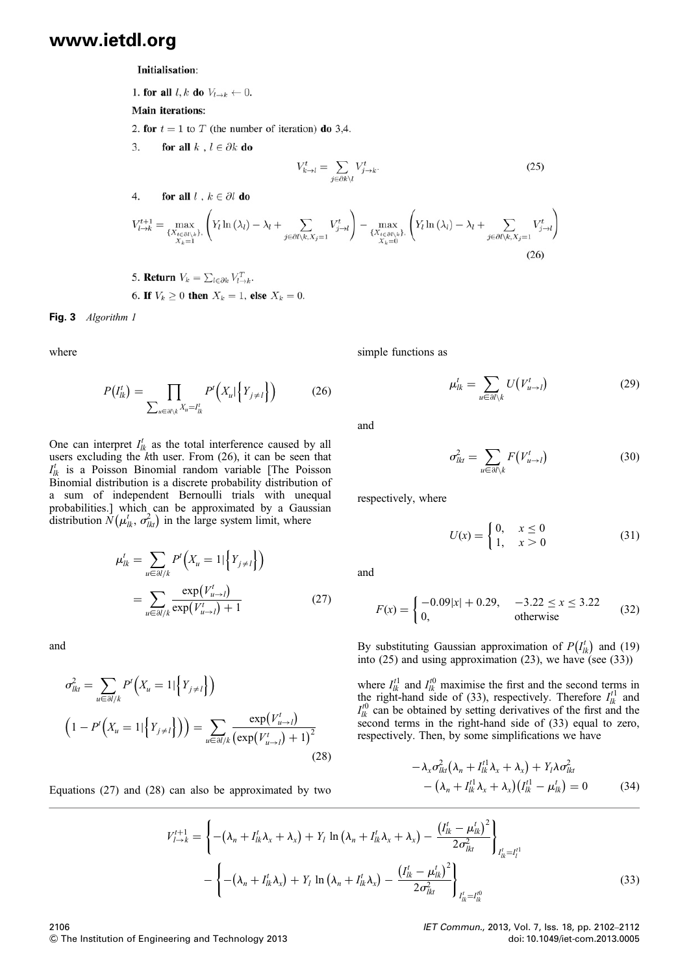Initialisation:

1. for all  $l, k$  do  $V_{l \rightarrow k} \leftarrow 0$ .

**Main iterations:** 

 $\overline{A}$ 

2. for  $t = 1$  to T (the number of iteration) do 3,4.

for all  $k$ ,  $l \in \partial k$  do 3.

$$
V_{k \to l}^t = \sum_{j \in \partial k \setminus l} V_{j \to k}^t.
$$
\n(25)

4. **for all** 
$$
l, k \in \partial l
$$
 **do**  
\n
$$
V_{l \to k}^{t+1} = \max_{\{X_{t \in \partial l \setminus k}\}, \left(Y_l \ln{(\lambda_l)} - \lambda_l + \sum_{j \in \partial l \setminus k, X_j = 1} V_{j \to l}^t\right) - \max_{\{X_{t \in \partial l \setminus k}\}, \left(Y_l \ln{(\lambda_l)} - \lambda_l + \sum_{j \in \partial l \setminus k, X_j = 1} V_{j \to l}^t\right) \tag{26}
$$

\n- 5. Return 
$$
V_k = \sum_{l \in \partial k} V_{l \to k}^T
$$
.
\n- 6. If  $V_k \geq 0$  then  $X_k = 1$ , else  $X_k = 0$ .
\n

Fig. 3 Algorithm 1

where

$$
P(I'_{lk}) = \prod_{\sum_{u \in \partial l \setminus k} X_u = I'_{lk}} P'\left(X_u | \left\{Y_{j \neq l}\right\}\right) \tag{26}
$$

One can interpret  $I_{lk}^t$  as the total interference caused by all users excluding the kth user. From (26), it can be seen that  $I_{lk}^t$  is a Poisson Binomial random variable [The Poisson Binomial distribution is a discrete probability distribution of a sum of independent Bernoulli trials with unequal probabilities.] which can be approximated by a Gaussian distribution  $\tilde{N}(\mu_{lk}^t, \sigma_{lk}^2)$  in the large system limit, where

$$
\mu_{lk}^{t} = \sum_{u \in \partial l/k} P^{t} \left( X_{u} = 1 | \left\{ Y_{j \neq l} \right\} \right)
$$
\n
$$
= \sum_{u \in \partial l/k} \frac{\exp(V_{u \to l}^{t})}{\exp(V_{u \to l}^{t}) + 1} \tag{27}
$$

and

$$
\sigma_{lkt}^{2} = \sum_{u \in \partial l/k} P^{t} \Big( X_{u} = 1 | \Big\{ Y_{j \neq l} \Big\} \Big)
$$
  

$$
\Big( 1 - P^{t} \Big( X_{u} = 1 | \Big\{ Y_{j \neq l} \Big\} \Big) \Big) = \sum_{u \in \partial l/k} \frac{\exp(V_{u \to l}^{t})}{\left( \exp(V_{u \to l}^{t}) + 1 \right)^{2}}
$$
(28)

Equations (27) and (28) can also be approximated by two

simple functions as

$$
\mu_{lk}^t = \sum_{u \in \partial l \setminus k} U(V_{u \to l}^t) \tag{29}
$$

and

$$
\sigma_{lkt}^2 = \sum_{u \in \partial l \setminus k} F(V_{u \to l}^t)
$$
 (30)

respectively, where

$$
U(x) = \begin{cases} 0, & x \le 0 \\ 1, & x > 0 \end{cases} \tag{31}
$$

and

$$
F(x) = \begin{cases} -0.09|x| + 0.29, & -3.22 \le x \le 3.22\\ 0, & \text{otherwise} \end{cases}
$$
 (32)

By substituting Gaussian approximation of  $P(I_{lk}^{t})$  and (19) into (25) and using approximation (23), we have (see (33))

where  $I_{lk}^{t_1}$  and  $I_{lk}^{t_0}$  maximise the first and the second terms in the right-hand side of (33), respectively. Therefore  $I_{lk}^{t_1}$  and  $I_{lk}^{t0}$  can be obtained by setting derivatives of the first and the second terms in the right-hand side of (33) equal to zero, respectively. Then, by some simplifications we have

$$
-\lambda_x \sigma_{lk}^2 (\lambda_n + I_{lk}^{t1} \lambda_x + \lambda_x) + Y_l \lambda \sigma_{lk}^2
$$
  
 
$$
-(\lambda_n + I_{lk}^{t1} \lambda_x + \lambda_x) (I_{lk}^{t1} - \mu_{lk}^t) = 0
$$
 (34)

$$
V_{l \to k}^{t+1} = \left\{ -(\lambda_n + I_{lk}^t \lambda_x + \lambda_x) + Y_l \ln (\lambda_n + I_{lk}^t \lambda_x + \lambda_x) - \frac{(I_{lk}^t - \mu_{lk}^t)^2}{2\sigma_{lkt}^2} \right\}_{I_{lk}^t = I_l^{t1}}
$$

$$
- \left\{ -(\lambda_n + I_{lk}^t \lambda_x) + Y_l \ln (\lambda_n + I_{lk}^t \lambda_x) - \frac{(I_{lk}^t - \mu_{lk}^t)^2}{2\sigma_{lkt}^2} \right\}_{I_{lk}^t = I_{lk}^{t0}}
$$
(33)

2106  $©$  The Institution of Engineering and Technology 2013 IET Commun., 2013, Vol. 7, Iss. 18, pp. 2102–2112 doi: 10.1049/iet-com.2013.0005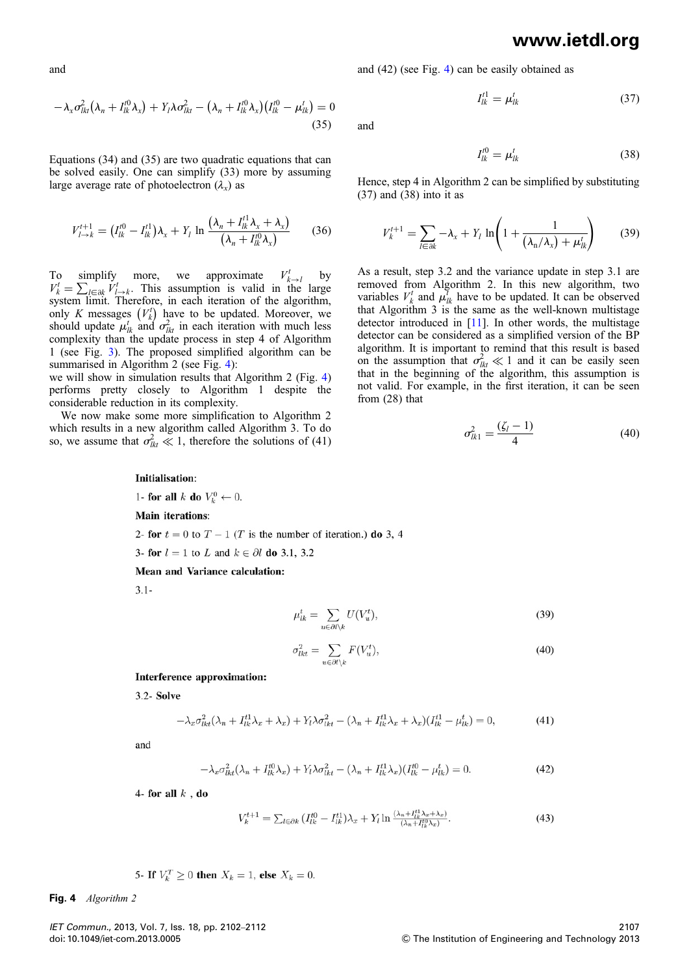and

$$
-\lambda_x \sigma_{lkl}^2 (\lambda_n + I_{lk}^{t0} \lambda_x) + Y_l \lambda \sigma_{lkl}^2 - (\lambda_n + I_{lk}^{t0} \lambda_x) (I_{lk}^{t0} - \mu_{lk}^t) = 0
$$
\n(35)

Equations (34) and (35) are two quadratic equations that can be solved easily. One can simplify (33) more by assuming large average rate of photoelectron  $(\lambda_x)$  as

$$
V_{l \to k}^{t+1} = (I_{lk}^{t0} - I_{lk}^{t1})\lambda_x + Y_l \ln \frac{(\lambda_n + I_{lk}^{t1}\lambda_x + \lambda_x)}{(\lambda_n + I_{lk}^{t0}\lambda_x)}
$$
(36)

To simplify more, we approximate  $V_{k\to l}^t$  by  $V_k^t = \sum_{l \in \partial k} V_{l\to k}^t$ . This assumption is valid in the large system limit. Therefore, in each iteration of the algorithm, only K messages  $(V_k^t)$  have to be updated. Moreover, we should update  $\mu_{lk}^t$  and  $\sigma_{lk}^2$  in each iteration with much less complexity than the update process in step 4 of Algorithm 1 (see Fig. 3). The proposed simplified algorithm can be summarised in Algorithm 2 (see Fig. 4):

we will show in simulation results that Algorithm 2 (Fig. 4) performs pretty closely to Algorithm 1 despite the considerable reduction in its complexity.

We now make some more simplification to Algorithm 2 which results in a new algorithm called Algorithm 3. To do so, we assume that  $\sigma_{lk}^2 \ll 1$ , therefore the solutions of (41) and (42) (see Fig. 4) can be easily obtained as

$$
I_{lk}^{t1} = \mu_{lk}^t \tag{37}
$$

and

$$
I_{lk}^{t0} = \mu_{lk}^t \tag{38}
$$

Hence, step 4 in Algorithm 2 can be simplified by substituting (37) and (38) into it as

$$
V_k^{t+1} = \sum_{l \in \partial k} -\lambda_x + Y_l \ln\left(1 + \frac{1}{\left(\lambda_n/\lambda_x\right) + \mu_{lk}^t}\right) \tag{39}
$$

As a result, step 3.2 and the variance update in step 3.1 are removed from Algorithm 2. In this new algorithm, two variables  $V_k^t$  and  $\mu_{lk}^t$  have to be updated. It can be observed that Algorithm 3 is the same as the well-known multistage detector introduced in [11]. In other words, the multistage detector can be considered as a simplified version of the BP algorithm. It is important to remind that this result is based on the assumption that  $\sigma_{lkt}^2 \ll 1$  and it can be easily seen that in the beginning of the algorithm, this assumption is not valid. For example, in the first iteration, it can be seen from (28) that

$$
\sigma_{lk1}^2 = \frac{(\zeta_l - 1)}{4} \tag{40}
$$

#### Initialisation:

1- for all k do  $V_k^0 \leftarrow 0$ .

**Main iterations:** 

2- for  $t = 0$  to  $T - 1$  (T is the number of iteration.) do 3, 4

3- for  $l = 1$  to L and  $k \in \partial l$  do 3.1, 3.2

#### Mean and Variance calculation:

 $3.1 -$ 

$$
\mu_{lk}^t = \sum_{u \in \partial l \setminus k} U(V_u^t),\tag{39}
$$

$$
\sigma_{lkt}^2 = \sum_{u \in \partial l \backslash k} F(V_u^t),\tag{40}
$$

Interference approximation:

3.2- Solve

$$
-\lambda_x \sigma_{lkt}^2(\lambda_n + I_{lk}^{t1}\lambda_x + \lambda_x) + Y_l \lambda \sigma_{lkt}^2 - (\lambda_n + I_{lk}^{t1}\lambda_x + \lambda_x)(I_{lk}^{t1} - \mu_{lk}^t) = 0,\tag{41}
$$

and

$$
-\lambda_x \sigma_{lkt}^2(\lambda_n + I_{lk}^{t0}\lambda_x) + Y_l \lambda \sigma_{lkt}^2 - (\lambda_n + I_{lk}^{t1}\lambda_x)(I_{lk}^{t0} - \mu_{lk}^t) = 0.
$$
 (42)

4- for all  $k$ , do

$$
V_k^{t+1} = \sum_{l \in \partial k} \left( I_{lk}^{t0} - I_{lk}^{t1} \right) \lambda_x + Y_l \ln \frac{(\lambda_n + I_{lk}^{t1} \lambda_x + \lambda_x)}{(\lambda_n + I_{lk}^{t0} \lambda_x)}.
$$
(43)

5- If  $V_k^T \ge 0$  then  $X_k = 1$ , else  $X_k = 0$ .

Fig. 4 Algorithm 2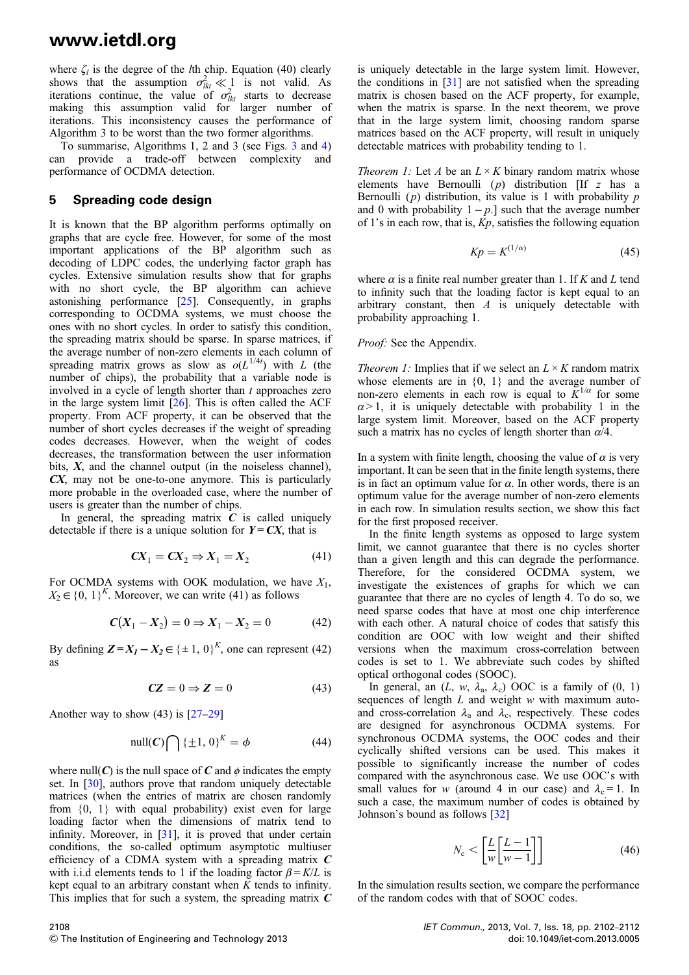where  $\zeta_l$  is the degree of the *l*th chip. Equation (40) clearly shows that the assumption  $\sigma_{lkt}^2 \ll 1$  is not valid. As iterations continue, the value of  $\sigma_{lkt}^2$  starts to decrease making this assumption valid for larger number of iterations. This inconsistency causes the performance of Algorithm 3 to be worst than the two former algorithms.

To summarise, Algorithms 1, 2 and 3 (see Figs. 3 and 4) can provide a trade-off between complexity and performance of OCDMA detection.

#### 5 Spreading code design

It is known that the BP algorithm performs optimally on graphs that are cycle free. However, for some of the most important applications of the BP algorithm such as decoding of LDPC codes, the underlying factor graph has cycles. Extensive simulation results show that for graphs with no short cycle, the BP algorithm can achieve astonishing performance [25]. Consequently, in graphs corresponding to OCDMA systems, we must choose the ones with no short cycles. In order to satisfy this condition, the spreading matrix should be sparse. In sparse matrices, if the average number of non-zero elements in each column of spreading matrix grows as slow as  $o(L^{1/4t})$  with L (the number of chips), the probability that a variable node is involved in a cycle of length shorter than  $t$  approaches zero in the large system limit  $[26]$ . This is often called the ACF property. From ACF property, it can be observed that the number of short cycles decreases if the weight of spreading codes decreases. However, when the weight of codes decreases, the transformation between the user information bits,  $X$ , and the channel output (in the noiseless channel), CX, may not be one-to-one anymore. This is particularly more probable in the overloaded case, where the number of users is greater than the number of chips.

In general, the spreading matrix  $C$  is called uniquely detectable if there is a unique solution for  $Y = CX$ , that is

$$
CX_1 = CX_2 \Rightarrow X_1 = X_2 \tag{41}
$$

For OCMDA systems with OOK modulation, we have  $X_1$ ,  $X_2 \in \{0, 1\}^K$ . Moreover, we can write (41) as follows

$$
C(X_1 - X_2) = 0 \Rightarrow X_1 - X_2 = 0 \tag{42}
$$

By defining  $\mathbf{Z} = X_1 - X_2 \in \{\pm 1, 0\}^K$ , one can represent (42) as

$$
CZ = 0 \Rightarrow Z = 0 \tag{43}
$$

Another way to show  $(43)$  is  $[27-29]$ 

$$
\text{null}(C) \bigcap {\{\pm 1, 0\}}^K = \phi \tag{44}
$$

where null(C) is the null space of C and  $\phi$  indicates the empty set. In [30], authors prove that random uniquely detectable matrices (when the entries of matrix are chosen randomly from  $\{0, 1\}$  with equal probability) exist even for large loading factor when the dimensions of matrix tend to infinity. Moreover, in [31], it is proved that under certain conditions, the so-called optimum asymptotic multiuser efficiency of a CDMA system with a spreading matrix  $C$ with i.i.d elements tends to 1 if the loading factor  $\beta = K/L$  is kept equal to an arbitrary constant when  $K$  tends to infinity. This implies that for such a system, the spreading matrix  $C$ 

is uniquely detectable in the large system limit. However, the conditions in [31] are not satisfied when the spreading matrix is chosen based on the ACF property, for example, when the matrix is sparse. In the next theorem, we prove that in the large system limit, choosing random sparse matrices based on the ACF property, will result in uniquely detectable matrices with probability tending to 1.

*Theorem 1:* Let A be an  $L \times K$  binary random matrix whose elements have Bernoulli  $(p)$  distribution  $[If z has a$ Bernoulli  $(p)$  distribution, its value is 1 with probability  $p$ and 0 with probability  $1 - p$ .] such that the average number of 1's in each row, that is,  $Kp$ , satisfies the following equation

$$
Kp = K^{(1/\alpha)} \tag{45}
$$

where  $\alpha$  is a finite real number greater than 1. If K and L tend to infinity such that the loading factor is kept equal to an arbitrary constant, then  $A$  is uniquely detectable with probability approaching 1.

#### *Proof:* See the Appendix.

*Theorem 1:* Implies that if we select an  $L \times K$  random matrix whose elements are in  $\{0, 1\}$  and the average number of non-zero elements in each row is equal to  $K^{1/\alpha}$  for some  $\alpha$  > 1, it is uniquely detectable with probability 1 in the large system limit. Moreover, based on the ACF property such a matrix has no cycles of length shorter than  $\alpha/4$ .

In a system with finite length, choosing the value of  $\alpha$  is very important. It can be seen that in the finite length systems, there is in fact an optimum value for  $\alpha$ . In other words, there is an optimum value for the average number of non-zero elements in each row. In simulation results section, we show this fact for the first proposed receiver.

In the finite length systems as opposed to large system limit, we cannot guarantee that there is no cycles shorter than a given length and this can degrade the performance. Therefore, for the considered OCDMA system, we investigate the existences of graphs for which we can guarantee that there are no cycles of length 4. To do so, we need sparse codes that have at most one chip interference with each other. A natural choice of codes that satisfy this condition are OOC with low weight and their shifted versions when the maximum cross-correlation between codes is set to 1. We abbreviate such codes by shifted optical orthogonal codes (SOOC).

In general, an  $(L, w, \lambda_a, \lambda_c)$  OOC is a family of  $(0, 1)$ sequences of length  $L$  and weight  $w$  with maximum autoand cross-correlation  $\lambda_a$  and  $\lambda_c$ , respectively. These codes are designed for asynchronous OCDMA systems. For synchronous OCDMA systems, the OOC codes and their cyclically shifted versions can be used. This makes it possible to significantly increase the number of codes compared with the asynchronous case. We use OOC's with small values for w (around 4 in our case) and  $\lambda_c = 1$ . In such a case, the maximum number of codes is obtained by Johnson's bound as follows [32]

$$
N_{\rm c} < \left[\frac{L}{w} \left[\frac{L-1}{w-1}\right]\right] \tag{46}
$$

In the simulation results section, we compare the performance of the random codes with that of SOOC codes.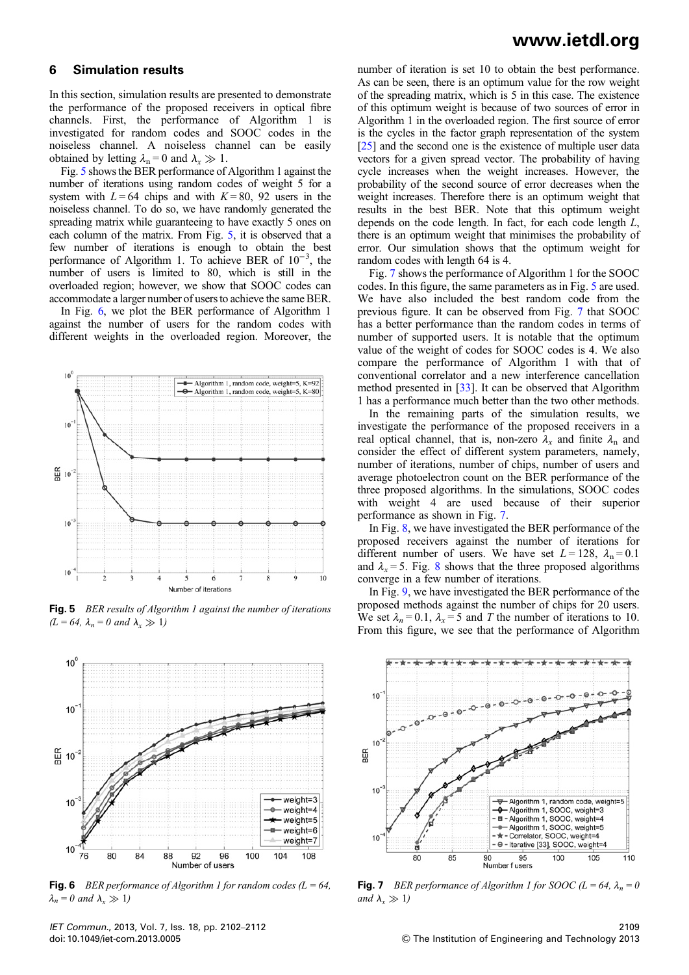#### 6 Simulation results

In this section, simulation results are presented to demonstrate the performance of the proposed receivers in optical fibre channels. First, the performance of Algorithm 1 is investigated for random codes and SOOC codes in the noiseless channel. A noiseless channel can be easily obtained by letting  $\lambda_n = 0$  and  $\lambda_r \gg 1$ .

Fig. 5 shows the BER performance of Algorithm 1 against the number of iterations using random codes of weight 5 for a system with  $L = 64$  chips and with  $K = 80$ , 92 users in the noiseless channel. To do so, we have randomly generated the spreading matrix while guaranteeing to have exactly 5 ones on each column of the matrix. From Fig. 5, it is observed that a few number of iterations is enough to obtain the best performance of Algorithm 1. To achieve BER of 10<sup>-3</sup>, the number of users is limited to 80, which is still in the overloaded region; however, we show that SOOC codes can accommodate a larger number of users to achieve the same BER.

In Fig. 6, we plot the BER performance of Algorithm 1 against the number of users for the random codes with different weights in the overloaded region. Moreover, the



**Fig. 5** BER results of Algorithm 1 against the number of iterations  $(L = 64, \lambda_n = 0 \text{ and } \lambda_r \gg 1)$ 



**Fig. 6** BER performance of Algorithm 1 for random codes  $(L = 64,$  $\lambda_n = 0$  and  $\lambda_x \gg 1$ )

### www.ietdl.org

number of iteration is set 10 to obtain the best performance. As can be seen, there is an optimum value for the row weight of the spreading matrix, which is 5 in this case. The existence of this optimum weight is because of two sources of error in Algorithm 1 in the overloaded region. The first source of error is the cycles in the factor graph representation of the system [25] and the second one is the existence of multiple user data vectors for a given spread vector. The probability of having cycle increases when the weight increases. However, the probability of the second source of error decreases when the weight increases. Therefore there is an optimum weight that results in the best BER. Note that this optimum weight depends on the code length. In fact, for each code length L, there is an optimum weight that minimises the probability of error. Our simulation shows that the optimum weight for random codes with length 64 is 4.

Fig. 7 shows the performance of Algorithm 1 for the SOOC codes. In this figure, the same parameters as in Fig. 5 are used. We have also included the best random code from the previous figure. It can be observed from Fig. 7 that SOOC has a better performance than the random codes in terms of number of supported users. It is notable that the optimum value of the weight of codes for SOOC codes is 4. We also compare the performance of Algorithm 1 with that of conventional correlator and a new interference cancellation method presented in [33]. It can be observed that Algorithm 1 has a performance much better than the two other methods.

In the remaining parts of the simulation results, we investigate the performance of the proposed receivers in a real optical channel, that is, non-zero  $\lambda_x$  and finite  $\lambda_n$  and consider the effect of different system parameters, namely, number of iterations, number of chips, number of users and average photoelectron count on the BER performance of the three proposed algorithms. In the simulations, SOOC codes with weight 4 are used because of their superior performance as shown in Fig. 7.

In Fig. 8, we have investigated the BER performance of the proposed receivers against the number of iterations for different number of users. We have set  $L = 128$ ,  $\lambda_n = 0.1$ and  $\lambda_x = 5$ . Fig. 8 shows that the three proposed algorithms converge in a few number of iterations.

In Fig. 9, we have investigated the BER performance of the proposed methods against the number of chips for 20 users. We set  $\lambda_n = 0.1$ ,  $\lambda_x = 5$  and T the number of iterations to 10. From this figure, we see that the performance of Algorithm



**Fig. 7** BER performance of Algorithm 1 for SOOC ( $L = 64$ ,  $\lambda_n = 0$ and  $\lambda_r \gg 1$ )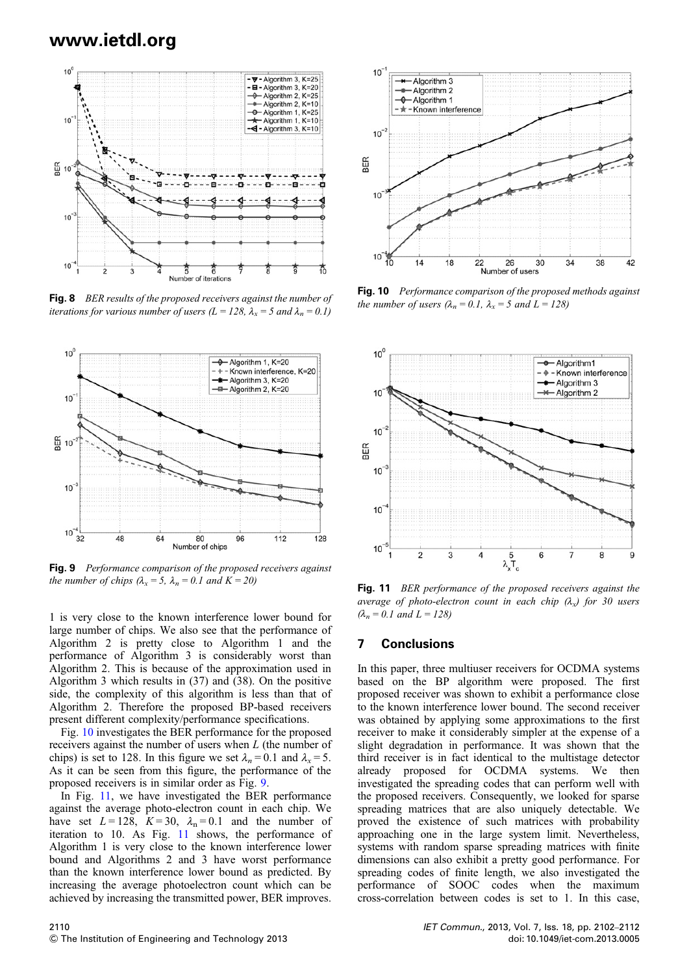

Fig. 8 BER results of the proposed receivers against the number of iterations for various number of users ( $L = 128$ ,  $\lambda_x = 5$  and  $\lambda_n = 0.1$ )



Fig. 9 Performance comparison of the proposed receivers against the number of chips  $(\lambda_x = 5, \lambda_n = 0.1$  and  $K = 20)$ 

1 is very close to the known interference lower bound for large number of chips. We also see that the performance of Algorithm 2 is pretty close to Algorithm 1 and the performance of Algorithm 3 is considerably worst than Algorithm 2. This is because of the approximation used in Algorithm 3 which results in (37) and (38). On the positive side, the complexity of this algorithm is less than that of Algorithm 2. Therefore the proposed BP-based receivers present different complexity/performance specifications.

Fig. 10 investigates the BER performance for the proposed receivers against the number of users when L (the number of chips) is set to 128. In this figure we set  $\lambda_n = 0.1$  and  $\lambda_x = 5$ . As it can be seen from this figure, the performance of the proposed receivers is in similar order as Fig. 9.

In Fig. 11, we have investigated the BER performance against the average photo-electron count in each chip. We have set  $L = 128$ ,  $K = 30$ ,  $\lambda_n = 0.1$  and the number of iteration to 10. As Fig. 11 shows, the performance of Algorithm 1 is very close to the known interference lower bound and Algorithms 2 and 3 have worst performance than the known interference lower bound as predicted. By increasing the average photoelectron count which can be achieved by increasing the transmitted power, BER improves.



Fig. 10 Performance comparison of the proposed methods against the number of users  $(\lambda_n = 0.1, \lambda_x = 5$  and  $L = 128$ )



Fig. 11 BER performance of the proposed receivers against the average of photo-electron count in each chip  $(\lambda_x)$  for 30 users  $(\lambda_n = 0.1$  and  $L = 128)$ 

#### 7 Conclusions

In this paper, three multiuser receivers for OCDMA systems based on the BP algorithm were proposed. The first proposed receiver was shown to exhibit a performance close to the known interference lower bound. The second receiver was obtained by applying some approximations to the first receiver to make it considerably simpler at the expense of a slight degradation in performance. It was shown that the third receiver is in fact identical to the multistage detector already proposed for OCDMA systems. We then investigated the spreading codes that can perform well with the proposed receivers. Consequently, we looked for sparse spreading matrices that are also uniquely detectable. We proved the existence of such matrices with probability approaching one in the large system limit. Nevertheless, systems with random sparse spreading matrices with finite dimensions can also exhibit a pretty good performance. For spreading codes of finite length, we also investigated the performance of SOOC codes when the maximum cross-correlation between codes is set to 1. In this case,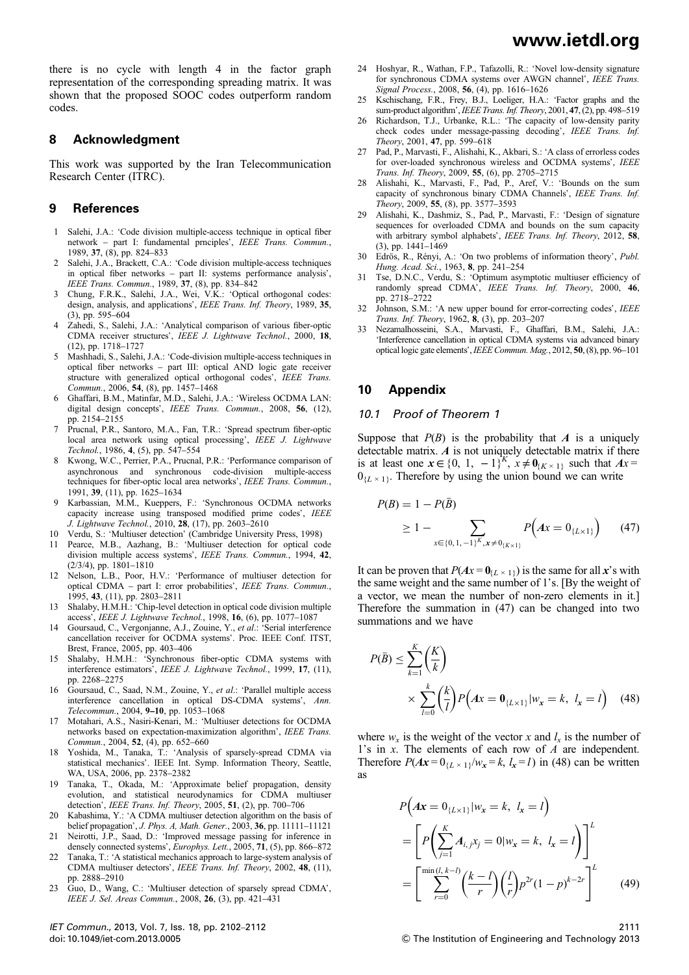there is no cycle with length 4 in the factor graph representation of the corresponding spreading matrix. It was shown that the proposed SOOC codes outperform random codes.

#### 8 Acknowledgment

This work was supported by the Iran Telecommunication Research Center (ITRC).

#### 9 References

- 1 Salehi, J.A.: 'Code division multiple-access technique in optical fiber network – part I: fundamental prnciples', IEEE Trans. Commun., 1989, 37, (8), pp. 824–833
- 2 Salehi, J.A., Brackett, C.A.: 'Code division multiple-access techniques in optical fiber networks – part II: systems performance analysis', IEEE Trans. Commun., 1989, 37, (8), pp. 834–842
- 3 Chung, F.R.K., Salehi, J.A., Wei, V.K.: 'Optical orthogonal codes: design, analysis, and applications', IEEE Trans. Inf. Theory, 1989, 35, (3), pp. 595–604
- Zahedi, S., Salehi, J.A.: 'Analytical comparison of various fiber-optic CDMA receiver structures', IEEE J. Lightwave Technol., 2000, 18, (12), pp. 1718–1727
- 5 Mashhadi, S., Salehi, J.A.: 'Code-division multiple-access techniques in optical fiber networks – part III: optical AND logic gate receiver structure with generalized optical orthogonal codes', IEEE Trans. Commun., 2006, 54, (8), pp. 1457-1468
- 6 Ghaffari, B.M., Matinfar, M.D., Salehi, J.A.: 'Wireless OCDMA LAN: digital design concepts', IEEE Trans. Commun., 2008, 56, (12), pp. 2154–2155
- 7 Prucnal, P.R., Santoro, M.A., Fan, T.R.: 'Spread spectrum fiber-optic local area network using optical processing', IEEE J. Lightwave Technol., 1986, 4, (5), pp. 547–554
- 8 Kwong, W.C., Perrier, P.A., Prucnal, P.R.: 'Performance comparison of asynchronous and synchronous code-division multiple-access techniques for fiber-optic local area networks', IEEE Trans. Commun., 1991, 39, (11), pp. 1625–1634
- 9 Karbassian, M.M., Kueppers, F.: 'Synchronous OCDMA networks capacity increase using transposed modified prime codes', IEEE J. Lightwave Technol., 2010, 28, (17), pp. 2603–2610
- 10 Verdu, S.: 'Multiuser detection' (Cambridge University Press, 1998)
- 11 Pearce, M.B., Aazhang, B.: 'Multiuser detection for optical code division multiple access systems', IEEE Trans. Commun., 1994, 42, (2/3/4), pp. 1801–1810
- 12 Nelson, L.B., Poor, H.V.: 'Performance of multiuser detection for optical CDMA – part I: error probabilities', IEEE Trans. Commun., 1995, 43, (11), pp. 2803–2811
- Shalaby, H.M.H.: 'Chip-level detection in optical code division multiple access', IEEE J. Lightwave Technol., 1998, 16, (6), pp. 1077-1087
- 14 Goursaud, C., Vergonjanne, A.J., Zouine, Y., et al.: 'Serial interference cancellation receiver for OCDMA systems'. Proc. IEEE Conf. ITST, Brest, France, 2005, pp. 403–406
- 15 Shalaby, H.M.H.: 'Synchronous fiber-optic CDMA systems with interference estimators', IEEE J. Lightwave Technol., 1999, 17, (11), pp. 2268–2275
- 16 Goursaud, C., Saad, N.M., Zouine, Y., et al.: 'Parallel multiple access interference cancellation in optical DS-CDMA systems', Ann. Telecommun., 2004, 9–10, pp. 1053–1068
- 17 Motahari, A.S., Nasiri-Kenari, M.: 'Multiuser detections for OCDMA networks based on expectation-maximization algorithm', IEEE Trans. Commun., 2004, 52, (4), pp. 652–660
- 18 Yoshida, M., Tanaka, T.: 'Analysis of sparsely-spread CDMA via statistical mechanics'. IEEE Int. Symp. Information Theory, Seattle, WA, USA, 2006, pp. 2378–2382
- 19 Tanaka, T., Okada, M.: 'Approximate belief propagation, density evolution, and statistical neurodynamics for CDMA multiuser detection', IEEE Trans. Inf. Theory, 2005, 51, (2), pp. 700–706
- 20 Kabashima, Y.: 'A CDMA multiuser detection algorithm on the basis of belief propagation', J. Phys. A, Math. Gener., 2003, 36, pp. 11111–11121
- 21 Neirotti, J.P., Saad, D.: 'Improved message passing for inference in densely connected systems', Europhys. Lett., 2005, 71, (5), pp. 866–872
- 22 Tanaka, T.: 'A statistical mechanics approach to large-system analysis of CDMA multiuser detectors', IEEE Trans. Inf. Theory, 2002, 48, (11), pp. 2888–2910
- 23 Guo, D., Wang, C.: 'Multiuser detection of sparsely spread CDMA', IEEE J. Sel. Areas Commun., 2008, 26, (3), pp. 421–431

IET Commun., 2013, Vol. 7, Iss. 18, pp. 2102–2112 doi: 10.1049/iet-com.2013.0005

- 24 Hoshyar, R., Wathan, F.P., Tafazolli, R.: 'Novel low-density signature for synchronous CDMA systems over AWGN channel', IEEE Trans. Signal Process., 2008, 56, (4), pp. 1616–1626
- 25 Kschischang, F.R., Frey, B.J., Loeliger, H.A.: 'Factor graphs and the sum-product algorithm', IEEE Trans. Inf. Theory, 2001, 47, (2), pp. 498–519
- 26 Richardson, T.J., Urbanke, R.L.: 'The capacity of low-density parity check codes under message-passing decoding', IEEE Trans. Inf. Theory, 2001, 47, pp. 599–618
- Pad, P., Marvasti, F., Alishahi, K., Akbari, S.: 'A class of errorless codes for over-loaded synchronous wireless and OCDMA systems', IEEE Trans. Inf. Theory, 2009, 55, (6), pp. 2705–2715
- 28 Alishahi, K., Marvasti, F., Pad, P., Aref, V.: 'Bounds on the sum capacity of synchronous binary CDMA Channels', IEEE Trans. Inf. Theory, 2009, 55, (8), pp. 3577–3593
- 29 Alishahi, K., Dashmiz, S., Pad, P., Marvasti, F.: 'Design of signature sequences for overloaded CDMA and bounds on the sum capacity with arbitrary symbol alphabets', IEEE Trans. Inf. Theory, 2012, 58, (3), pp. 1441–1469
- 30 Edrös, R., Rényi, A.: 'On two problems of information theory', Publ.
- Hung. Acad. Sci., 1963, 8, pp. 241–254<br>31 Tse, D.N.C., Verdu, S.: 'Optimum asymptotic multiuser efficiency of randomly spread CDMA', IEEE Trans. Inf. Theory, 2000, 46, pp. 2718–2722
- 32 Johnson, S.M.: 'A new upper bound for error-correcting codes', IEEE Trans. Inf. Theory, 1962, 8, (3), pp. 203–207
- 33 Nezamalhosseini, S.A., Marvasti, F., Ghaffari, B.M., Salehi, J.A.: 'Interference cancellation in optical CDMA systems via advanced binary optical logic gate elements',IEEE Commun. Mag., 2012, 50, (8), pp. 96–101

#### 10 Appendix

#### 10.1 Proof of Theorem 1

Suppose that  $P(B)$  is the probability that A is a uniquely detectable matrix.  $\vec{A}$  is not uniquely detectable matrix if there is at least one  $x \in \{0, 1, -1\}^K$ ,  $x \neq \mathbf{0}_{\{K \times 1\}}$  such that  $Ax =$  $0_{\{L \times 1\}}$ . Therefore by using the union bound we can write

$$
P(B) = 1 - P(\bar{B})
$$
  
\n
$$
\geq 1 - \sum_{x \in \{0, 1, -1\}^K, x \neq 0_{\{K \times 1\}}} P(Ax = 0_{\{L \times 1\}})
$$
 (47)

It can be proven that  $P(Ax = 0_{\{L \times 1\}})$  is the same for all x's with the same weight and the same number of 1's. [By the weight of a vector, we mean the number of non-zero elements in it.] Therefore the summation in (47) can be changed into two summations and we have

$$
P(\bar{B}) \le \sum_{k=1}^{K} \left(\frac{K}{k}\right)
$$
  
 
$$
\times \sum_{l=0}^{k} \left(\frac{k}{l}\right) P\left(Ax = \mathbf{0}_{\{L \times 1\}} | w_x = k, l_x = l\right) \quad (48)
$$

where  $w_x$  is the weight of the vector x and  $l_x$  is the number of 1's in x. The elements of each row of A are independent. Therefore  $P(Ax=0_{\{L \times 1\}}/w_x = k, l_x = l)$  in (48) can be written as

$$
P(Ax = 0_{\{L \times 1\}} | w_x = k, l_x = l)
$$
  
= 
$$
\left[ P\left(\sum_{j=1}^K A_{i,j} x_j = 0 | w_x = k, l_x = l \right) \right]^L
$$
  
= 
$$
\left[ \sum_{r=0}^{\min(l, k-l)} \left(\frac{k-l}{r}\right) \left(\frac{l}{r}\right) p^{2r} (1-p)^{k-2r} \right]^L
$$
 (49)

 $©$  The Institution of Engineering and Technology 2013

2111